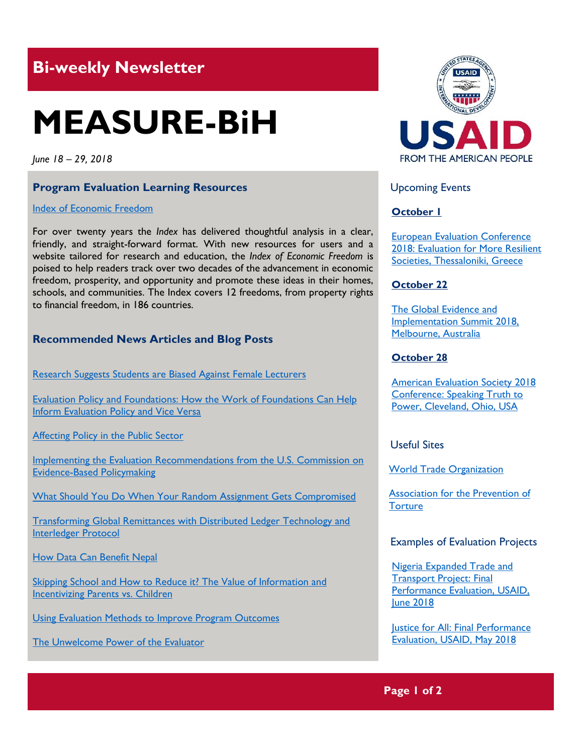## **Bi-weekly Newsletter**

# **MEASURE-BiH**

*June 18 – 29, 2018*

#### **Program Evaluation Learning Resources**

#### Index of [Economic Freedom](https://www.heritage.org/index/)

For over twenty years the *Index* has delivered thoughtful analysis in a clear, friendly, and straight-forward format. With new resources for users and a website tailored for research and education, the *Index of Economic Freedom* is poised to help readers track over two decades of the advancement in economic freedom, prosperity, and opportunity and promote these ideas in their homes, schools, and communities. The Index covers 12 freedoms, from property rights to financial freedom, in 186 countries.

#### **Recommended News Articles and Blog Posts**

[Research Suggests Students are Biased Against Female Lecturers](https://media.economist.com/news/science-and-technology/21729426-how-long-does-prejudice-last-research-suggests-students-are-biased-against)

[Evaluation Policy and Foundations: How the Work of Foundations Can Help](https://aea365.org/blog/eptf-week-evaluation-policy-and-foundations-how-the-work-of-foundations-can-help-inform-evaluation-policy-and-vice-versa-by-katrina-bledsoe/)  [Inform Evaluation Policy and Vice Versa](https://aea365.org/blog/eptf-week-evaluation-policy-and-foundations-how-the-work-of-foundations-can-help-inform-evaluation-policy-and-vice-versa-by-katrina-bledsoe/)

[Affecting Policy in the Public Sector](https://aea365.org/blog/eptf-week-affecting-policy-in-the-public-sector-by-tom-chapel/)

[Implementing the Evaluation Recommendations from the U.S. Commission on](https://aea365.org/blog/eptf-week-implementing-the-evaluation-recommendations-from-the-u-s-commission-on-evidence-based-policymaking-by-nick-hart/)  [Evidence-Based Policymaking](https://aea365.org/blog/eptf-week-implementing-the-evaluation-recommendations-from-the-u-s-commission-on-evidence-based-policymaking-by-nick-hart/)

[What Should You Do When Your Random Assignment Gets Compromised](https://blogs.worldbank.org/impactevaluations/what-should-you-do-when-your-random-assignment-gets-compromised)

[Transforming Global Remittances with Distributed Ledger Technology and](https://blogs.worldbank.org/peoplemove/transforming-global-remittances-distributed-ledger-technology-and-interledger-protocol)  [Interledger Protocol](https://blogs.worldbank.org/peoplemove/transforming-global-remittances-distributed-ledger-technology-and-interledger-protocol)

[How Data Can Benefit Nepal](https://blogs.worldbank.org/endpovertyinsouthasia/ravi-kumar)

Skipping School and How to Reduce it? The Value of Information and [Incentivizing Parents vs. Children](https://blogs.worldbank.org/impactevaluations/skipping-school-and-how-reduce-it-value-information-and-incentivizing-parents-vs-children)

[Using Evaluation Methods to Improve Program Outcomes](https://aea365.org/blog/using-evaluation-methods-to-improve-program-outcomes-by-nicky-grist/)

[The Unwelcome Power of the Evaluator](https://aea365.org/blog/the-unwelcome-power-of-the-evaluator-by-beverly-peters/)



Upcoming Events

#### **October 1**

[European Evaluation Conference](http://www.ees2018.eu/)  [2018: Evaluation for More Resilient](http://www.ees2018.eu/)  [Societies, Thessaloniki, Greece](http://www.ees2018.eu/)

#### **October 22**

[The Global Evidence](https://www.geis2018.org/) and [Implementation Summit 2018,](https://www.geis2018.org/) [Melbourne, Australia](https://www.geis2018.org/)

#### **October 28**

[American Evaluation Society 2018](https://www.evaluationconference.org/p/cm/ld/fid=341)  [Conference: Speaking Truth to](https://www.evaluationconference.org/p/cm/ld/fid=341)  [Power, Cleveland, Ohio, USA](https://www.evaluationconference.org/p/cm/ld/fid=341)

Useful Sites

[World Trade Organization](https://www.wto.org/)

[Association for the Prevention of](https://www.apt.ch/)  **[Torture](https://www.apt.ch/)** 

#### Examples of Evaluation Projects

[Nigeria Expanded Trade and](https://dec.usaid.gov/dec/content/Detail_Presto.aspx?ctID=ODVhZjk4NWQtM2YyMi00YjRmLTkxNjktZTcxMjM2NDBmY2Uy&rID=NTA3NDk4&qrs=RmFsc2U%3d&q=KERvY3VtZW50cy5CaWJ0eXBlX05hbWU6KCgiU3BlY2lhbCBFdmFsdWF0aW9uIikgT1IgKCJGaW5hbCBFdmFsdWF0aW9uIFJlcG9ydCIpKSk%3d&ph=VHJ1ZQ%3d%3d&bckToL=VHJ1ZQ%3d%3d&rrtc=VHJ1ZQ%3d%3d)  [Transport Project: Final](https://dec.usaid.gov/dec/content/Detail_Presto.aspx?ctID=ODVhZjk4NWQtM2YyMi00YjRmLTkxNjktZTcxMjM2NDBmY2Uy&rID=NTA3NDk4&qrs=RmFsc2U%3d&q=KERvY3VtZW50cy5CaWJ0eXBlX05hbWU6KCgiU3BlY2lhbCBFdmFsdWF0aW9uIikgT1IgKCJGaW5hbCBFdmFsdWF0aW9uIFJlcG9ydCIpKSk%3d&ph=VHJ1ZQ%3d%3d&bckToL=VHJ1ZQ%3d%3d&rrtc=VHJ1ZQ%3d%3d)  [Performance Evaluation,](https://dec.usaid.gov/dec/content/Detail_Presto.aspx?ctID=ODVhZjk4NWQtM2YyMi00YjRmLTkxNjktZTcxMjM2NDBmY2Uy&rID=NTA3NDk4&qrs=RmFsc2U%3d&q=KERvY3VtZW50cy5CaWJ0eXBlX05hbWU6KCgiU3BlY2lhbCBFdmFsdWF0aW9uIikgT1IgKCJGaW5hbCBFdmFsdWF0aW9uIFJlcG9ydCIpKSk%3d&ph=VHJ1ZQ%3d%3d&bckToL=VHJ1ZQ%3d%3d&rrtc=VHJ1ZQ%3d%3d) USAID, [June 2018](https://dec.usaid.gov/dec/content/Detail_Presto.aspx?ctID=ODVhZjk4NWQtM2YyMi00YjRmLTkxNjktZTcxMjM2NDBmY2Uy&rID=NTA3NDk4&qrs=RmFsc2U%3d&q=KERvY3VtZW50cy5CaWJ0eXBlX05hbWU6KCgiU3BlY2lhbCBFdmFsdWF0aW9uIikgT1IgKCJGaW5hbCBFdmFsdWF0aW9uIFJlcG9ydCIpKSk%3d&ph=VHJ1ZQ%3d%3d&bckToL=VHJ1ZQ%3d%3d&rrtc=VHJ1ZQ%3d%3d)

Justice for All: [Final Performance](https://dec.usaid.gov/dec/content/Detail_Presto.aspx?ctID=ODVhZjk4NWQtM2YyMi00YjRmLTkxNjktZTcxMjM2NDBmY2Uy&rID=NTA3MDE1&qrs=RmFsc2U%3d&q=KERvY3VtZW50cy5CaWJ0eXBlX05hbWU6KCgiU3BlY2lhbCBFdmFsdWF0aW9uIikgT1IgKCJGaW5hbCBFdmFsdWF0aW9uIFJlcG9ydCIpKSk%3d&ph=VHJ1ZQ%3d%3d&bckToL=VHJ1ZQ%3d%3d&rrtc=VHJ1ZQ%3d%3d)  Evaluation, [USAID, May 2018](https://dec.usaid.gov/dec/content/Detail_Presto.aspx?ctID=ODVhZjk4NWQtM2YyMi00YjRmLTkxNjktZTcxMjM2NDBmY2Uy&rID=NTA3MDE1&qrs=RmFsc2U%3d&q=KERvY3VtZW50cy5CaWJ0eXBlX05hbWU6KCgiU3BlY2lhbCBFdmFsdWF0aW9uIikgT1IgKCJGaW5hbCBFdmFsdWF0aW9uIFJlcG9ydCIpKSk%3d&ph=VHJ1ZQ%3d%3d&bckToL=VHJ1ZQ%3d%3d&rrtc=VHJ1ZQ%3d%3d)

#### **Page 1 of 2**